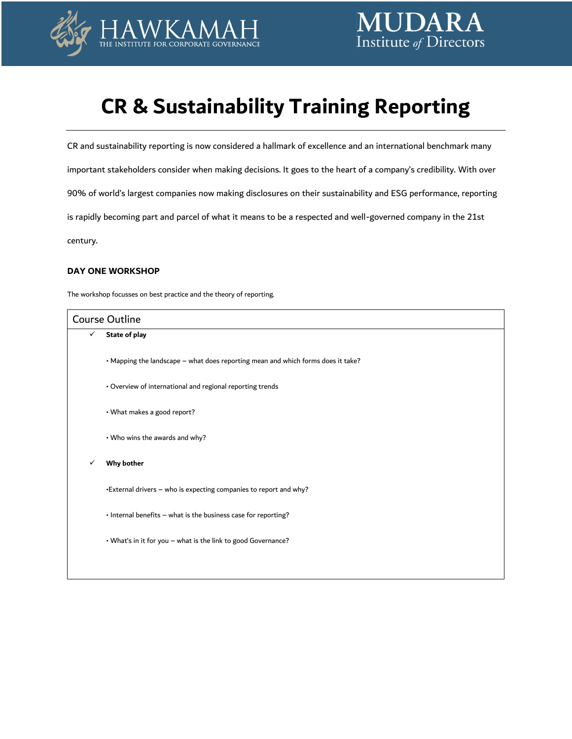

# **CR & Sustainability Training Reporting**

CR and sustainability reporting is now considered a hallmark of excellence and an international benchmark many important stakeholders consider when making decisions. It goes to the heart of a company's credibility. With over 90% of world's largest companies now making disclosures on their sustainability and ESG performance, reporting is rapidly becoming part and parcel of what it means to be a respected and well-governed company in the 21st century.

# **DAY ONE WORKSHOP**

The workshop focusses on best practice and the theory of reporting.

| <b>Course Outline</b> |                                                                                  |  |
|-----------------------|----------------------------------------------------------------------------------|--|
| $\checkmark$          | State of play                                                                    |  |
|                       | • Mapping the landscape – what does reporting mean and which forms does it take? |  |
|                       | • Overview of international and regional reporting trends                        |  |
|                       | • What makes a good report?                                                      |  |
|                       | • Who wins the awards and why?                                                   |  |
|                       | <b>Why bother</b>                                                                |  |
|                       | •External drivers - who is expecting companies to report and why?                |  |
|                       | • Internal benefits - what is the business case for reporting?                   |  |
|                       | . What's in it for you - what is the link to good Governance?                    |  |
|                       |                                                                                  |  |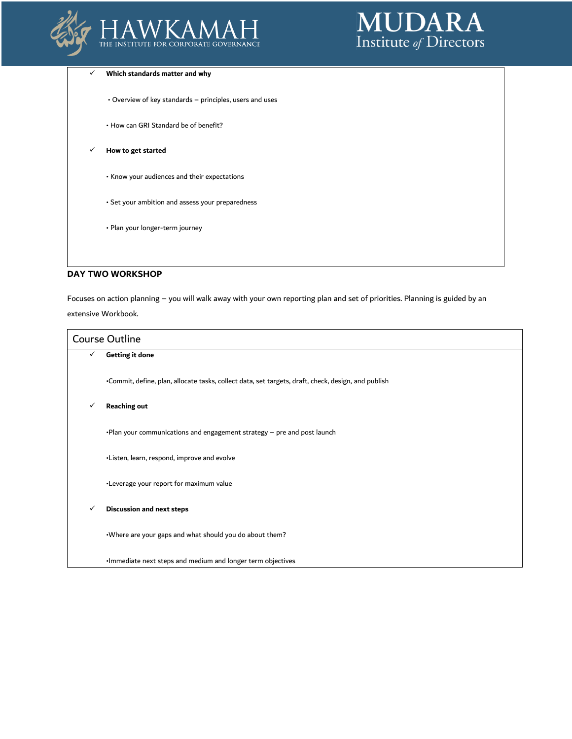



#### **Which standards matter and why**

- Overview of key standards principles, users and uses
- How can GRI Standard be of benefit?
- **How to get started**
	- Know your audiences and their expectations
	- Set your ambition and assess your preparedness
	- Plan your longer-term journey

## **DAY TWO WORKSHOP**

Focuses on action planning – you will walk away with your own reporting plan and set of priorities. Planning is guided by an extensive Workbook.

| <b>Course Outline</b> |                                                                                                     |
|-----------------------|-----------------------------------------------------------------------------------------------------|
| ✓                     | <b>Getting it done</b>                                                                              |
|                       | .Commit, define, plan, allocate tasks, collect data, set targets, draft, check, design, and publish |
| ✓                     | <b>Reaching out</b>                                                                                 |
|                       | . Plan your communications and engagement strategy - pre and post launch                            |
|                       | •Listen, learn, respond, improve and evolve                                                         |
|                       | •Leverage your report for maximum value                                                             |
| ✓                     | <b>Discussion and next steps</b>                                                                    |
|                       | . Where are your gaps and what should you do about them?                                            |
|                       | . Immediate next steps and medium and longer term objectives                                        |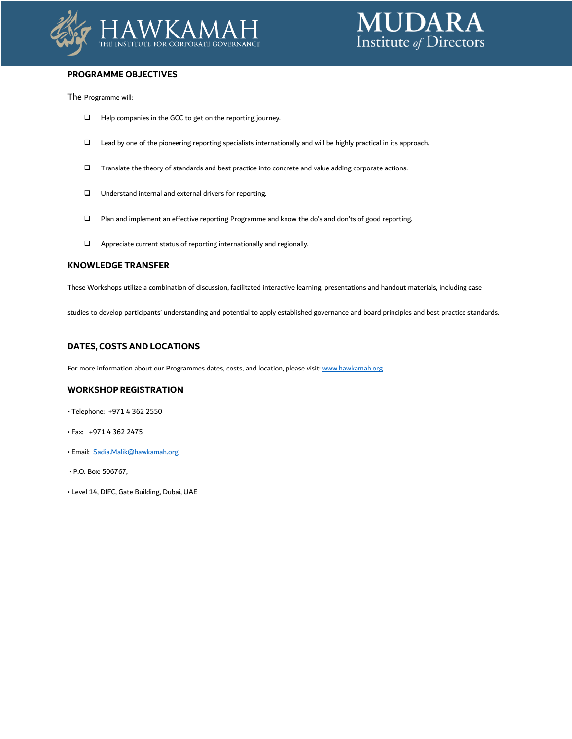



# **PROGRAMME OBJECTIVES**

The Programme will:

- Help companies in the GCC to get on the reporting journey.
- Lead by one of the pioneering reporting specialists internationally and will be highly practical in its approach.
- Translate the theory of standards and best practice into concrete and value adding corporate actions.
- Understand internal and external drivers for reporting.
- Plan and implement an effective reporting Programme and know the do's and don'ts of good reporting.
- Appreciate current status of reporting internationally and regionally.

#### **KNOWLEDGE TRANSFER**

These Workshops utilize a combination of discussion, facilitated interactive learning, presentations and handout materials, including case

studies to develop participants' understanding and potential to apply established governance and board principles and best practice standards.

# **DATES, COSTS AND LOCATIONS**

For more information about our Programmes dates, costs, and location, please visit: www.hawkamah.org

## **WORKSHOP REGISTRATION**

- Telephone: +971 4 362 2550
- Fax: +971 4 362 2475
- Email: [Sadia.Malik@hawkamah.org](mailto:Sadia.Malik@hawkamah.org)
- P.O. Box: 506767,
- Level 14, DIFC, Gate Building, Dubai, UAE